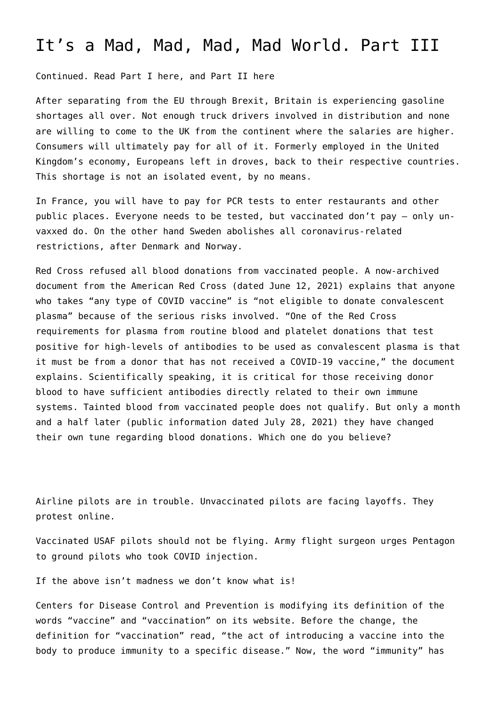## [It's a Mad, Mad, Mad, Mad World. Part III](https://www.americanexperience.is/2021/11/07/its-a-mad-mad-mad-mad-world-part-iii/)

Continued. Read Part I [here](https://www.americanexperience.is/2021/10/21/its-a-mad-mad-mad-mad-world/), and Part II [here](https://www.americanexperience.is/2021/10/25/its-a-mad-mad-mad-mad-world-part-ii/)

After separating from the EU through Brexit, Britain is experiencing gasoline shortages all over. Not enough truck drivers involved in distribution and none are willing to come to the UK from the continent where the salaries are higher. Consumers will ultimately pay for all of it. Formerly employed in the United Kingdom's economy, Europeans left in droves, back to their respective countries. This shortage is not an isolated event, by no means.

In France, you will have to pay for PCR tests to enter restaurants and other public places. Everyone needs to be tested, but vaccinated don't pay – only unvaxxed do. On the other hand Sweden abolishes all coronavirus-related restrictions, after Denmark and Norway.

Red Cross [refused](https://www.citizensjournal.us/red-cross-issues-warning-to-stop-blood-plasma-donations-from-vaccinated-people/) all blood donations from vaccinated people. A [now-archived](https://web.archive.org/web/20210612044557/https:/www.redcrossblood.org/content/dam/redcrossblood/docs/covid19_newdonor_vaccine_guide.pdf) [document](https://web.archive.org/web/20210612044557/https:/www.redcrossblood.org/content/dam/redcrossblood/docs/covid19_newdonor_vaccine_guide.pdf) from the American Red Cross (dated June 12, 2021) explains that anyone who takes "any type of COVID vaccine" is "not eligible to donate convalescent plasma" because of the serious risks involved. "One of the Red Cross requirements for plasma from routine blood and platelet donations that test positive for high-levels of antibodies to be used as convalescent plasma is that it must be from a donor that has not received a COVID-19 vaccine," the document explains. Scientifically speaking, it is critical for those receiving donor blood to have sufficient antibodies directly related to their own immune systems. Tainted blood from vaccinated people does not qualify. But only a month and a half later [\(public information](https://www.redcross.org/about-us/news-and-events/news/2021/answers-to-common-questions-about-covid-19-vaccines-and-blood-platelet-plasma-donation-eligibility.html) dated July 28, 2021) they have changed their own tune regarding blood donations. Which one do you believe?

Airline pilots are in trouble. Unvaccinated pilots are facing layoffs. They protest [online](https://www.infowars.com/posts/epic-american-pilots-rebel-against-vaccine-mandate/).

Vaccinated USAF pilots should not be flying. Army flight surgeon urges Pentagon to [ground pilots](https://www.newswars.com/army-flight-surgeon-urges-pentagon-to-ground-pilots-who-took-covid-injection/) who took COVID injection.

If the above isn't madness we don't know what is!

Centers for Disease Control and Prevention is modifying its definition of the words "vaccine" and "vaccination" on its website. Before the change, the definition for "vaccination" read, "the act of introducing a vaccine into the body to produce immunity to a specific disease." Now, the word "immunity" has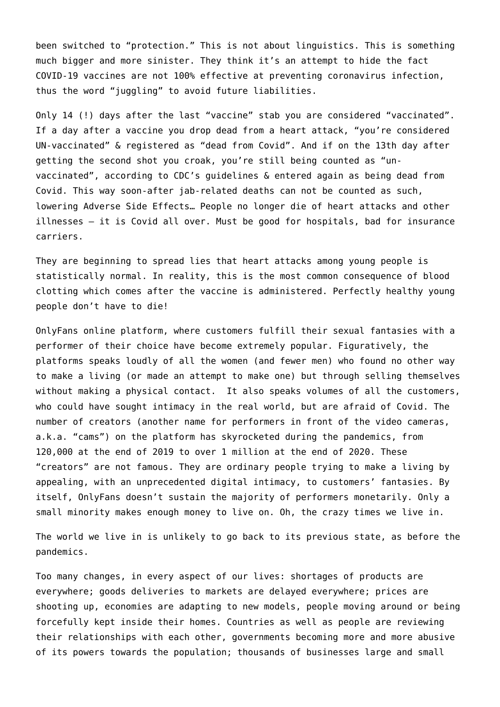been switched to "protection." This is not about linguistics. This is something much bigger and more sinister. They think it's an attempt to hide the fact COVID-19 vaccines are not 100% effective at preventing coronavirus infection, thus the word "juggling" to avoid future liabilities.

Only 14 (!) days after the last "vaccine" stab you are considered "vaccinated". If a day after a vaccine you drop dead from a heart attack, "you're considered UN-vaccinated" & registered as "dead from Covid". And if on the 13th day after getting the second shot you croak, you're still being counted as "unvaccinated", according to CDC's guidelines & entered again as being dead from Covid. This way soon-after jab-related deaths can not be counted as such, lowering Adverse Side Effects… People no longer die of heart attacks and other illnesses – it is Covid all over. Must be good for hospitals, bad for insurance carriers.

They are beginning to spread lies that heart attacks among young people is statistically normal. In reality, this is the most common consequence of blood clotting which comes after the vaccine is administered. Perfectly healthy young people don't have to die!

OnlyFans online platform, where customers fulfill their sexual fantasies with a performer of their choice have become extremely popular. Figuratively, the platforms speaks loudly of all the women (and fewer men) who found no other way to make a living (or made an attempt to make one) but through selling themselves without making a physical contact. It also speaks volumes of all the customers, who could have sought intimacy in the real world, but are afraid of Covid. The number of creators (another name for performers in front of the video cameras, a.k.a. "cams") on the platform has skyrocketed during the pandemics, from 120,000 at the end of 2019 to over 1 million at the end of 2020. These "creators" are not famous. They are ordinary people trying to make a living by appealing, with an unprecedented digital intimacy, to customers' fantasies. By itself, OnlyFans doesn't sustain the majority of performers monetarily. Only a small minority makes enough money to live on. Oh, the crazy times we live in.

The world we live in is unlikely to go back to its previous state, as before the pandemics.

Too many changes, in every aspect of our lives: shortages of products are everywhere; goods deliveries to markets are delayed everywhere; prices are shooting up, economies are adapting to new models, people moving around or being forcefully kept inside their homes. Countries as well as people are reviewing their relationships with each other, governments becoming more and more abusive of its powers towards the population; thousands of businesses large and small